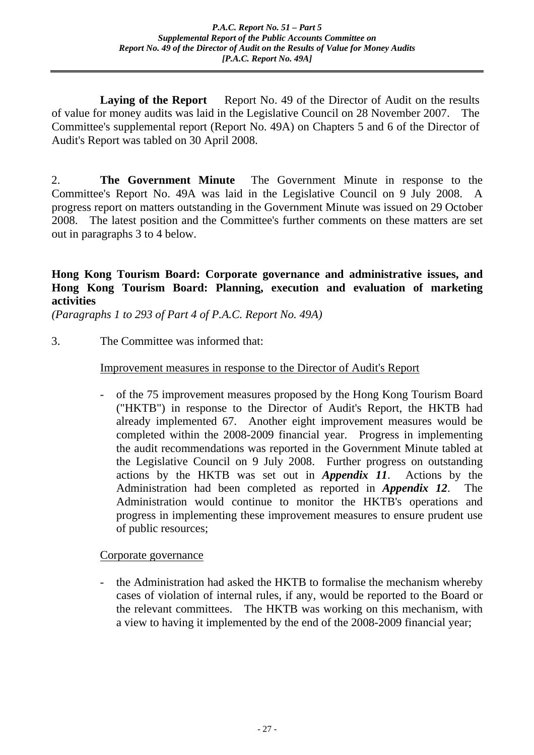**Laying of the Report** Report No. 49 of the Director of Audit on the results of value for money audits was laid in the Legislative Council on 28 November 2007. The Committee's supplemental report (Report No. 49A) on Chapters 5 and 6 of the Director of Audit's Report was tabled on 30 April 2008.

2. **The Government Minute** The Government Minute in response to the Committee's Report No. 49A was laid in the Legislative Council on 9 July 2008. A progress report on matters outstanding in the Government Minute was issued on 29 October 2008. The latest position and the Committee's further comments on these matters are set out in paragraphs 3 to 4 below.

## **Hong Kong Tourism Board: Corporate governance and administrative issues, and Hong Kong Tourism Board: Planning, execution and evaluation of marketing activities**

*(Paragraphs 1 to 293 of Part 4 of P.A.C. Report No. 49A)*

3. The Committee was informed that:

## Improvement measures in response to the Director of Audit's Report

- of the 75 improvement measures proposed by the Hong Kong Tourism Board ("HKTB") in response to the Director of Audit's Report, the HKTB had already implemented 67. Another eight improvement measures would be completed within the 2008-2009 financial year. Progress in implementing the audit recommendations was reported in the Government Minute tabled at the Legislative Council on 9 July 2008. Further progress on outstanding actions by the HKTB was set out in *Appendix 11*.Actions by the Administration had been completed as reported in *Appendix 12*. The Administration would continue to monitor the HKTB's operations and progress in implementing these improvement measures to ensure prudent use of public resources;

Corporate governance

- the Administration had asked the HKTB to formalise the mechanism whereby cases of violation of internal rules, if any, would be reported to the Board or the relevant committees. The HKTB was working on this mechanism, with a view to having it implemented by the end of the 2008-2009 financial year;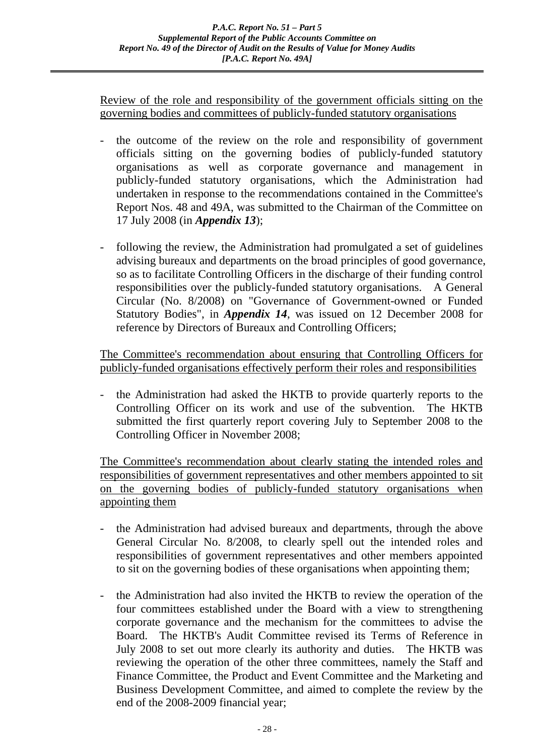Review of the role and responsibility of the government officials sitting on the governing bodies and committees of publicly-funded statutory organisations

- the outcome of the review on the role and responsibility of government officials sitting on the governing bodies of publicly-funded statutory organisations as well as corporate governance and management in publicly-funded statutory organisations, which the Administration had undertaken in response to the recommendations contained in the Committee's Report Nos. 48 and 49A, was submitted to the Chairman of the Committee on 17 July 2008 (in *Appendix 13*);
- following the review, the Administration had promulgated a set of guidelines advising bureaux and departments on the broad principles of good governance, so as to facilitate Controlling Officers in the discharge of their funding control responsibilities over the publicly-funded statutory organisations. A General Circular (No. 8/2008) on "Governance of Government-owned or Funded Statutory Bodies", in *Appendix 14*, was issued on 12 December 2008 for reference by Directors of Bureaux and Controlling Officers;

The Committee's recommendation about ensuring that Controlling Officers for publicly-funded organisations effectively perform their roles and responsibilities

- the Administration had asked the HKTB to provide quarterly reports to the Controlling Officer on its work and use of the subvention. The HKTB submitted the first quarterly report covering July to September 2008 to the Controlling Officer in November 2008;

The Committee's recommendation about clearly stating the intended roles and responsibilities of government representatives and other members appointed to sit on the governing bodies of publicly-funded statutory organisations when appointing them

- the Administration had advised bureaux and departments, through the above General Circular No. 8/2008, to clearly spell out the intended roles and responsibilities of government representatives and other members appointed to sit on the governing bodies of these organisations when appointing them;
- the Administration had also invited the HKTB to review the operation of the four committees established under the Board with a view to strengthening corporate governance and the mechanism for the committees to advise the Board. The HKTB's Audit Committee revised its Terms of Reference in July 2008 to set out more clearly its authority and duties. The HKTB was reviewing the operation of the other three committees, namely the Staff and Finance Committee, the Product and Event Committee and the Marketing and Business Development Committee, and aimed to complete the review by the end of the 2008-2009 financial year;